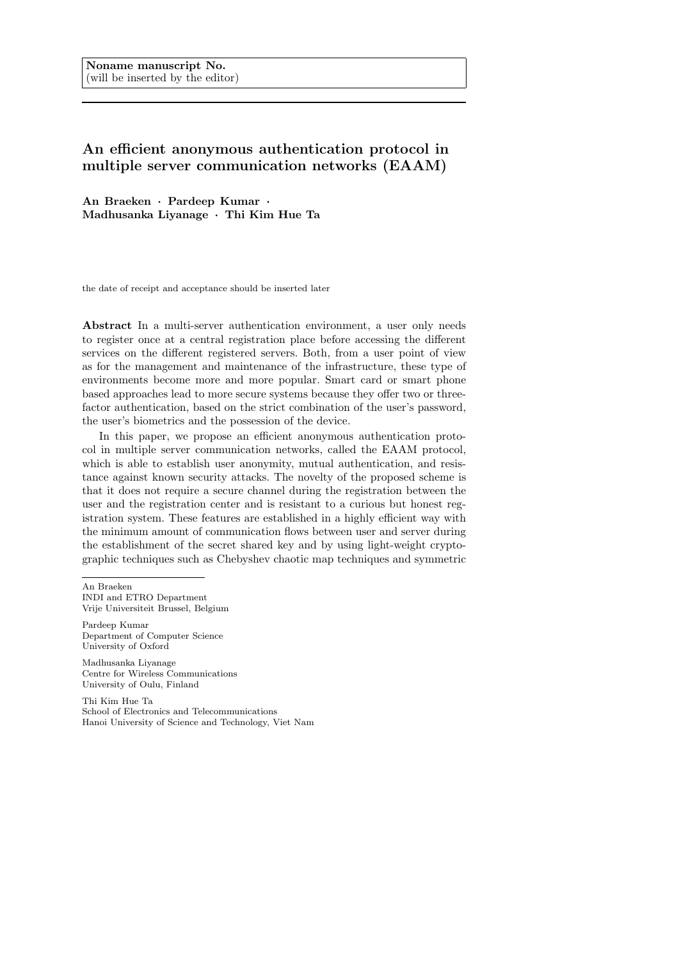# An efficient anonymous authentication protocol in multiple server communication networks (EAAM)

An Braeken · Pardeep Kumar · Madhusanka Liyanage · Thi Kim Hue Ta

the date of receipt and acceptance should be inserted later

Abstract In a multi-server authentication environment, a user only needs to register once at a central registration place before accessing the different services on the different registered servers. Both, from a user point of view as for the management and maintenance of the infrastructure, these type of environments become more and more popular. Smart card or smart phone based approaches lead to more secure systems because they offer two or threefactor authentication, based on the strict combination of the user's password, the user's biometrics and the possession of the device.

In this paper, we propose an efficient anonymous authentication protocol in multiple server communication networks, called the EAAM protocol, which is able to establish user anonymity, mutual authentication, and resistance against known security attacks. The novelty of the proposed scheme is that it does not require a secure channel during the registration between the user and the registration center and is resistant to a curious but honest registration system. These features are established in a highly efficient way with the minimum amount of communication flows between user and server during the establishment of the secret shared key and by using light-weight cryptographic techniques such as Chebyshev chaotic map techniques and symmetric

An Braeken INDI and ETRO Department Vrije Universiteit Brussel, Belgium

Pardeep Kumar Department of Computer Science University of Oxford

Madhusanka Liyanage Centre for Wireless Communications University of Oulu, Finland

Thi Kim Hue Ta School of Electronics and Telecommunications Hanoi University of Science and Technology, Viet Nam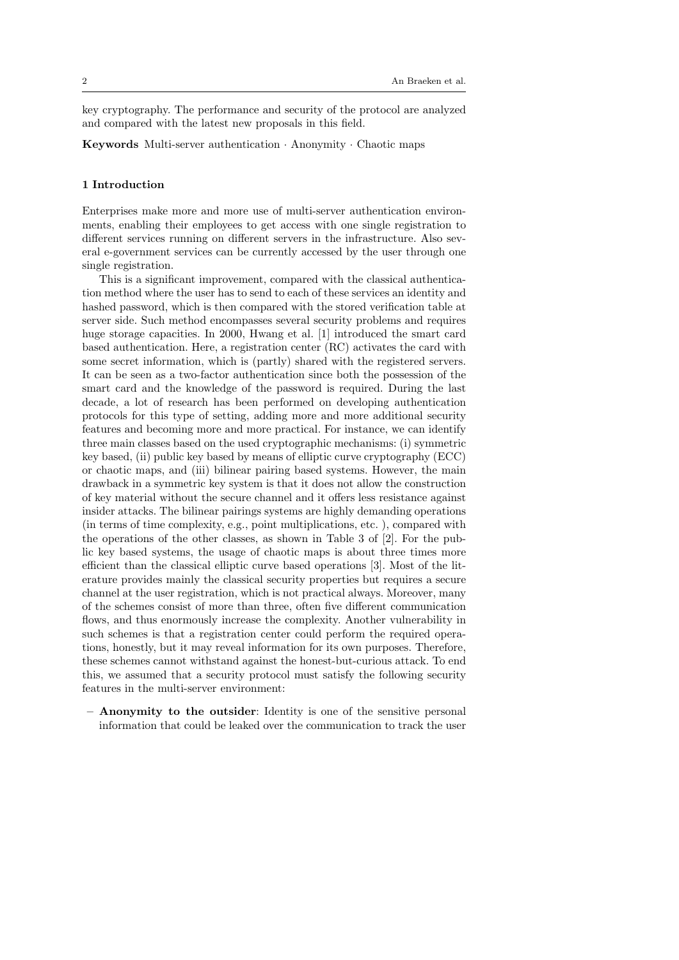key cryptography. The performance and security of the protocol are analyzed and compared with the latest new proposals in this field.

Keywords Multi-server authentication · Anonymity · Chaotic maps

## 1 Introduction

Enterprises make more and more use of multi-server authentication environments, enabling their employees to get access with one single registration to different services running on different servers in the infrastructure. Also several e-government services can be currently accessed by the user through one single registration.

This is a significant improvement, compared with the classical authentication method where the user has to send to each of these services an identity and hashed password, which is then compared with the stored verification table at server side. Such method encompasses several security problems and requires huge storage capacities. In 2000, Hwang et al. [1] introduced the smart card based authentication. Here, a registration center (RC) activates the card with some secret information, which is (partly) shared with the registered servers. It can be seen as a two-factor authentication since both the possession of the smart card and the knowledge of the password is required. During the last decade, a lot of research has been performed on developing authentication protocols for this type of setting, adding more and more additional security features and becoming more and more practical. For instance, we can identify three main classes based on the used cryptographic mechanisms: (i) symmetric key based, (ii) public key based by means of elliptic curve cryptography (ECC) or chaotic maps, and (iii) bilinear pairing based systems. However, the main drawback in a symmetric key system is that it does not allow the construction of key material without the secure channel and it offers less resistance against insider attacks. The bilinear pairings systems are highly demanding operations (in terms of time complexity, e.g., point multiplications, etc. ), compared with the operations of the other classes, as shown in Table 3 of [2]. For the public key based systems, the usage of chaotic maps is about three times more efficient than the classical elliptic curve based operations [3]. Most of the literature provides mainly the classical security properties but requires a secure channel at the user registration, which is not practical always. Moreover, many of the schemes consist of more than three, often five different communication flows, and thus enormously increase the complexity. Another vulnerability in such schemes is that a registration center could perform the required operations, honestly, but it may reveal information for its own purposes. Therefore, these schemes cannot withstand against the honest-but-curious attack. To end this, we assumed that a security protocol must satisfy the following security features in the multi-server environment:

– Anonymity to the outsider: Identity is one of the sensitive personal information that could be leaked over the communication to track the user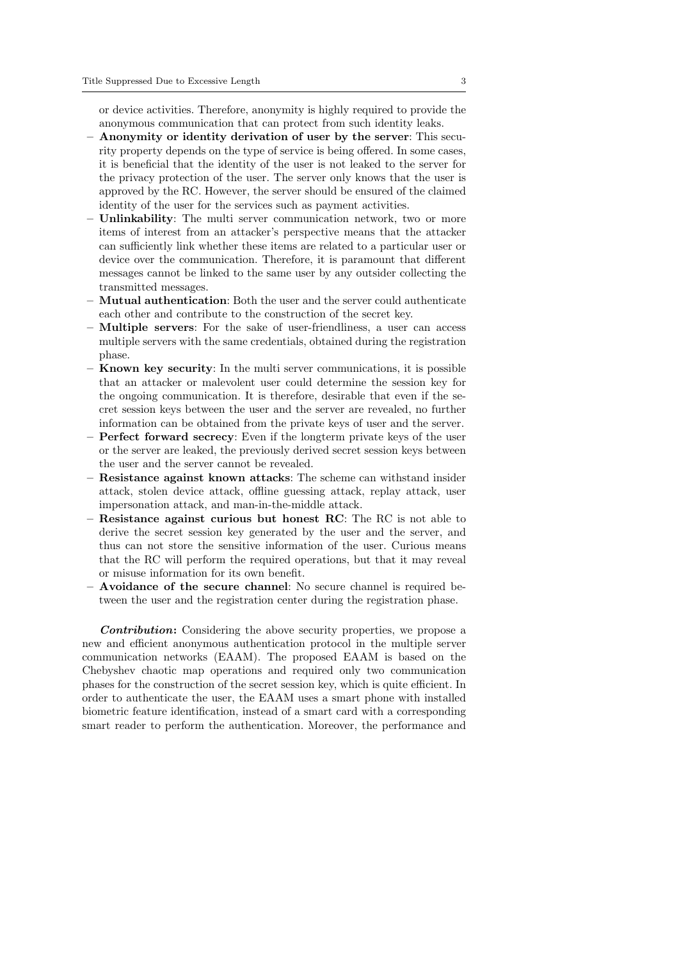or device activities. Therefore, anonymity is highly required to provide the anonymous communication that can protect from such identity leaks.

- Anonymity or identity derivation of user by the server: This security property depends on the type of service is being offered. In some cases, it is beneficial that the identity of the user is not leaked to the server for the privacy protection of the user. The server only knows that the user is approved by the RC. However, the server should be ensured of the claimed identity of the user for the services such as payment activities.
- Unlinkability: The multi server communication network, two or more items of interest from an attacker's perspective means that the attacker can sufficiently link whether these items are related to a particular user or device over the communication. Therefore, it is paramount that different messages cannot be linked to the same user by any outsider collecting the transmitted messages.
- Mutual authentication: Both the user and the server could authenticate each other and contribute to the construction of the secret key.
- Multiple servers: For the sake of user-friendliness, a user can access multiple servers with the same credentials, obtained during the registration phase.
- Known key security: In the multi server communications, it is possible that an attacker or malevolent user could determine the session key for the ongoing communication. It is therefore, desirable that even if the secret session keys between the user and the server are revealed, no further information can be obtained from the private keys of user and the server.
- Perfect forward secrecy: Even if the longterm private keys of the user or the server are leaked, the previously derived secret session keys between the user and the server cannot be revealed.
- Resistance against known attacks: The scheme can withstand insider attack, stolen device attack, offline guessing attack, replay attack, user impersonation attack, and man-in-the-middle attack.
- $-$  Resistance against curious but honest RC: The RC is not able to derive the secret session key generated by the user and the server, and thus can not store the sensitive information of the user. Curious means that the RC will perform the required operations, but that it may reveal or misuse information for its own benefit.
- Avoidance of the secure channel: No secure channel is required between the user and the registration center during the registration phase.

Contribution: Considering the above security properties, we propose a new and efficient anonymous authentication protocol in the multiple server communication networks (EAAM). The proposed EAAM is based on the Chebyshev chaotic map operations and required only two communication phases for the construction of the secret session key, which is quite efficient. In order to authenticate the user, the EAAM uses a smart phone with installed biometric feature identification, instead of a smart card with a corresponding smart reader to perform the authentication. Moreover, the performance and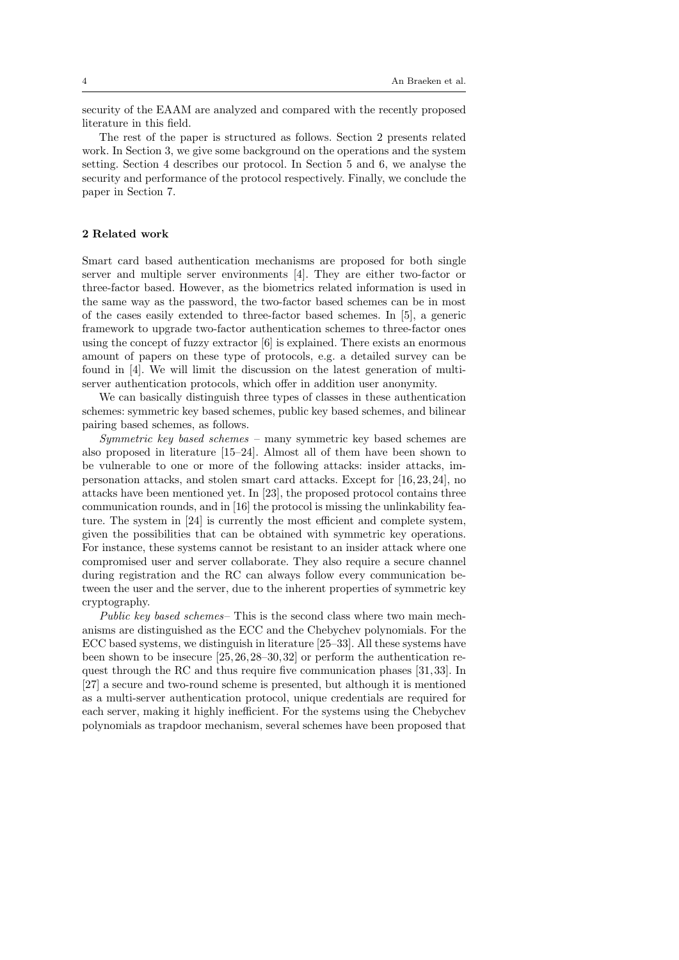security of the EAAM are analyzed and compared with the recently proposed literature in this field.

The rest of the paper is structured as follows. Section 2 presents related work. In Section 3, we give some background on the operations and the system setting. Section 4 describes our protocol. In Section 5 and 6, we analyse the security and performance of the protocol respectively. Finally, we conclude the paper in Section 7.

## 2 Related work

Smart card based authentication mechanisms are proposed for both single server and multiple server environments [4]. They are either two-factor or three-factor based. However, as the biometrics related information is used in the same way as the password, the two-factor based schemes can be in most of the cases easily extended to three-factor based schemes. In [5], a generic framework to upgrade two-factor authentication schemes to three-factor ones using the concept of fuzzy extractor  $[6]$  is explained. There exists an enormous amount of papers on these type of protocols, e.g. a detailed survey can be found in [4]. We will limit the discussion on the latest generation of multiserver authentication protocols, which offer in addition user anonymity.

We can basically distinguish three types of classes in these authentication schemes: symmetric key based schemes, public key based schemes, and bilinear pairing based schemes, as follows.

Symmetric key based schemes – many symmetric key based schemes are also proposed in literature [15–24]. Almost all of them have been shown to be vulnerable to one or more of the following attacks: insider attacks, impersonation attacks, and stolen smart card attacks. Except for [16, 23, 24], no attacks have been mentioned yet. In [23], the proposed protocol contains three communication rounds, and in [16] the protocol is missing the unlinkability feature. The system in [24] is currently the most efficient and complete system, given the possibilities that can be obtained with symmetric key operations. For instance, these systems cannot be resistant to an insider attack where one compromised user and server collaborate. They also require a secure channel during registration and the RC can always follow every communication between the user and the server, due to the inherent properties of symmetric key cryptography.

Public key based schemes– This is the second class where two main mechanisms are distinguished as the ECC and the Chebychev polynomials. For the ECC based systems, we distinguish in literature [25–33]. All these systems have been shown to be insecure [25, 26, 28–30, 32] or perform the authentication request through the RC and thus require five communication phases [31, 33]. In [27] a secure and two-round scheme is presented, but although it is mentioned as a multi-server authentication protocol, unique credentials are required for each server, making it highly inefficient. For the systems using the Chebychev polynomials as trapdoor mechanism, several schemes have been proposed that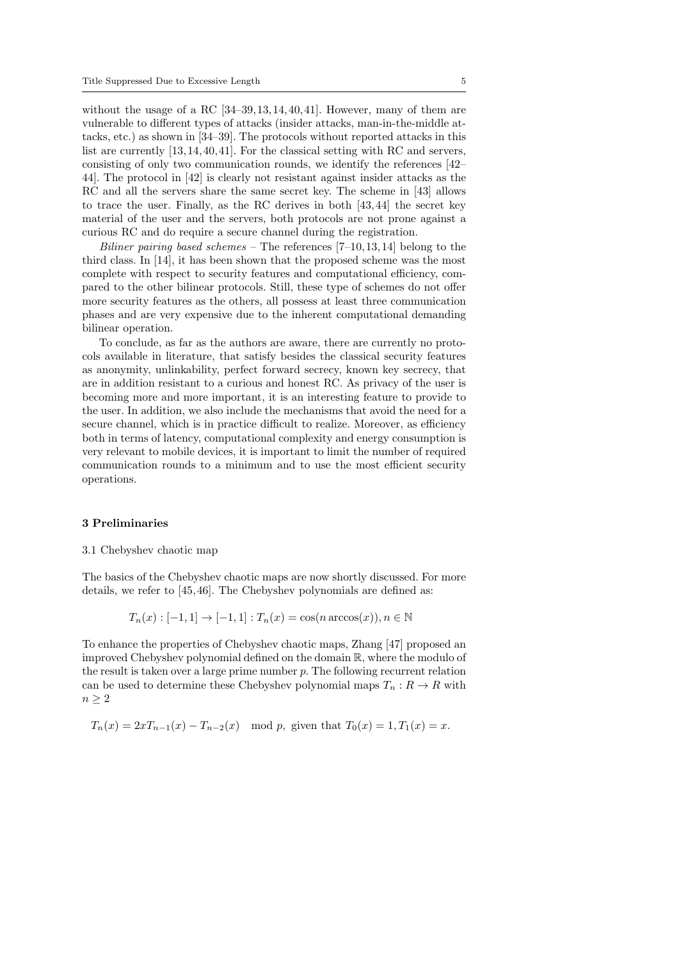without the usage of a RC  $[34–39, 13, 14, 40, 41]$ . However, many of them are vulnerable to different types of attacks (insider attacks, man-in-the-middle attacks, etc.) as shown in [34–39]. The protocols without reported attacks in this list are currently [13, 14, 40, 41]. For the classical setting with RC and servers, consisting of only two communication rounds, we identify the references [42– 44]. The protocol in [42] is clearly not resistant against insider attacks as the RC and all the servers share the same secret key. The scheme in [43] allows to trace the user. Finally, as the RC derives in both [43, 44] the secret key material of the user and the servers, both protocols are not prone against a curious RC and do require a secure channel during the registration.

Biliner pairing based schemes – The references  $[7-10, 13, 14]$  belong to the third class. In [14], it has been shown that the proposed scheme was the most complete with respect to security features and computational efficiency, compared to the other bilinear protocols. Still, these type of schemes do not offer more security features as the others, all possess at least three communication phases and are very expensive due to the inherent computational demanding bilinear operation.

To conclude, as far as the authors are aware, there are currently no protocols available in literature, that satisfy besides the classical security features as anonymity, unlinkability, perfect forward secrecy, known key secrecy, that are in addition resistant to a curious and honest RC. As privacy of the user is becoming more and more important, it is an interesting feature to provide to the user. In addition, we also include the mechanisms that avoid the need for a secure channel, which is in practice difficult to realize. Moreover, as efficiency both in terms of latency, computational complexity and energy consumption is very relevant to mobile devices, it is important to limit the number of required communication rounds to a minimum and to use the most efficient security operations.

### 3 Preliminaries

#### 3.1 Chebyshev chaotic map

The basics of the Chebyshev chaotic maps are now shortly discussed. For more details, we refer to [45, 46]. The Chebyshev polynomials are defined as:

$$
T_n(x) : [-1,1] \to [-1,1] : T_n(x) = \cos(n \arccos(x)), n \in \mathbb{N}
$$

To enhance the properties of Chebyshev chaotic maps, Zhang [47] proposed an improved Chebyshev polynomial defined on the domain R, where the modulo of the result is taken over a large prime number  $p$ . The following recurrent relation can be used to determine these Chebyshev polynomial maps  $T_n: R \to R$  with  $n \geq 2$ 

 $T_n(x) = 2xT_{n-1}(x) - T_{n-2}(x) \mod p$ , given that  $T_0(x) = 1, T_1(x) = x$ .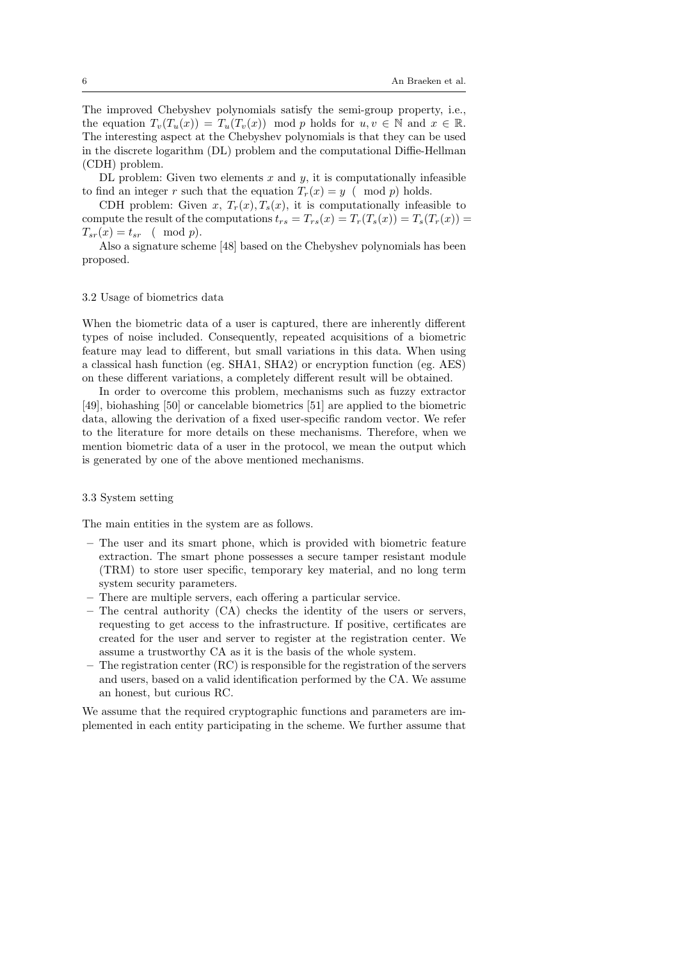The improved Chebyshev polynomials satisfy the semi-group property, i.e., the equation  $T_v(T_u(x)) = T_u(T_v(x)) \mod p$  holds for  $u, v \in \mathbb{N}$  and  $x \in \mathbb{R}$ . The interesting aspect at the Chebyshev polynomials is that they can be used in the discrete logarithm (DL) problem and the computational Diffie-Hellman (CDH) problem.

DL problem: Given two elements  $x$  and  $y$ , it is computationally infeasible to find an integer r such that the equation  $T_r(x) = y$  (mod p) holds.

CDH problem: Given x,  $T_r(x)$ ,  $T_s(x)$ , it is computationally infeasible to compute the result of the computations  $t_{rs} = T_{rs}(x) = T_r(T_s(x)) = T_s(T_r(x))$  $T_{sr}(x) = t_{sr} \pmod{p}.$ 

Also a signature scheme [48] based on the Chebyshev polynomials has been proposed.

## 3.2 Usage of biometrics data

When the biometric data of a user is captured, there are inherently different types of noise included. Consequently, repeated acquisitions of a biometric feature may lead to different, but small variations in this data. When using a classical hash function (eg. SHA1, SHA2) or encryption function (eg. AES) on these different variations, a completely different result will be obtained.

In order to overcome this problem, mechanisms such as fuzzy extractor [49], biohashing [50] or cancelable biometrics [51] are applied to the biometric data, allowing the derivation of a fixed user-specific random vector. We refer to the literature for more details on these mechanisms. Therefore, when we mention biometric data of a user in the protocol, we mean the output which is generated by one of the above mentioned mechanisms.

## 3.3 System setting

The main entities in the system are as follows.

- The user and its smart phone, which is provided with biometric feature extraction. The smart phone possesses a secure tamper resistant module (TRM) to store user specific, temporary key material, and no long term system security parameters.
- There are multiple servers, each offering a particular service.
- The central authority (CA) checks the identity of the users or servers, requesting to get access to the infrastructure. If positive, certificates are created for the user and server to register at the registration center. We assume a trustworthy CA as it is the basis of the whole system.
- The registration center (RC) is responsible for the registration of the servers and users, based on a valid identification performed by the CA. We assume an honest, but curious RC.

We assume that the required cryptographic functions and parameters are implemented in each entity participating in the scheme. We further assume that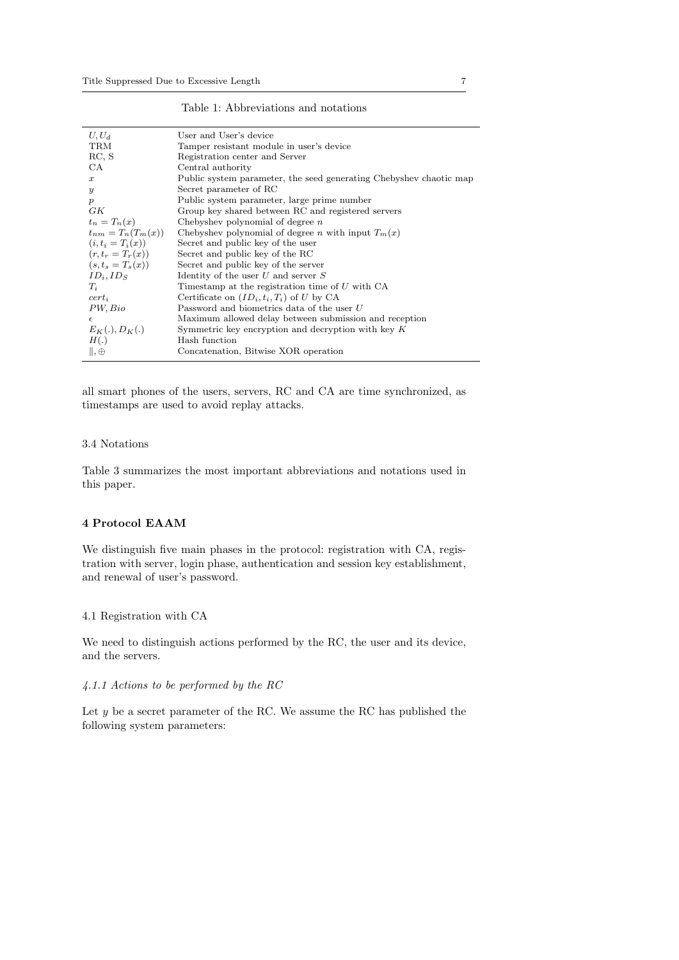| $U, U_d$               | User and User's device                                             |
|------------------------|--------------------------------------------------------------------|
| TRM                    | Tamper resistant module in user's device                           |
| RC, S                  | Registration center and Server                                     |
| CA                     | Central authority                                                  |
| $\boldsymbol{x}$       | Public system parameter, the seed generating Chebyshev chaotic map |
| $\boldsymbol{y}$       | Secret parameter of RC                                             |
| $\boldsymbol{p}$       | Public system parameter, large prime number                        |
| G K                    | Group key shared between RC and registered servers                 |
| $t_n = T_n(x)$         | Chebyshev polynomial of degree $n$                                 |
| $t_{nm} = T_n(T_m(x))$ | Chebyshev polynomial of degree <i>n</i> with input $T_m(x)$        |
| $(i, t_i = T_i(x))$    | Secret and public key of the user                                  |
| $(r, t_r = T_r(x))$    | Secret and public key of the RC                                    |
| $(s, t_s = T_s(x))$    | Secret and public key of the server                                |
| $ID_i, ID_S$           | Identity of the user $U$ and server $S$                            |
| $T_i$                  | Timestamp at the registration time of $U$ with $CA$                |
| $cert_i$               | Certificate on $(ID_i, t_i, T_i)$ of U by CA                       |
| PW, Bio                | Password and biometrics data of the user U                         |
| $\epsilon$             | Maximum allowed delay between submission and reception             |
| $E_K(.)$ , $D_K(.)$    | Symmetric key encryption and decryption with key $K$               |
| H(.)                   | Hash function                                                      |
| $\parallel, \oplus$    | Concatenation, Bitwise XOR operation                               |
|                        |                                                                    |

all smart phones of the users, servers, RC and CA are time synchronized, as timestamps are used to avoid replay attacks.

## 3.4 Notations

Table 3 summarizes the most important abbreviations and notations used in this paper.

## 4 Protocol EAAM

We distinguish five main phases in the protocol: registration with CA, registration with server, login phase, authentication and session key establishment, and renewal of user's password.

## 4.1 Registration with CA

We need to distinguish actions performed by the RC, the user and its device, and the servers.

4.1.1 Actions to be performed by the RC

Let  $y$  be a secret parameter of the RC. We assume the RC has published the following system parameters: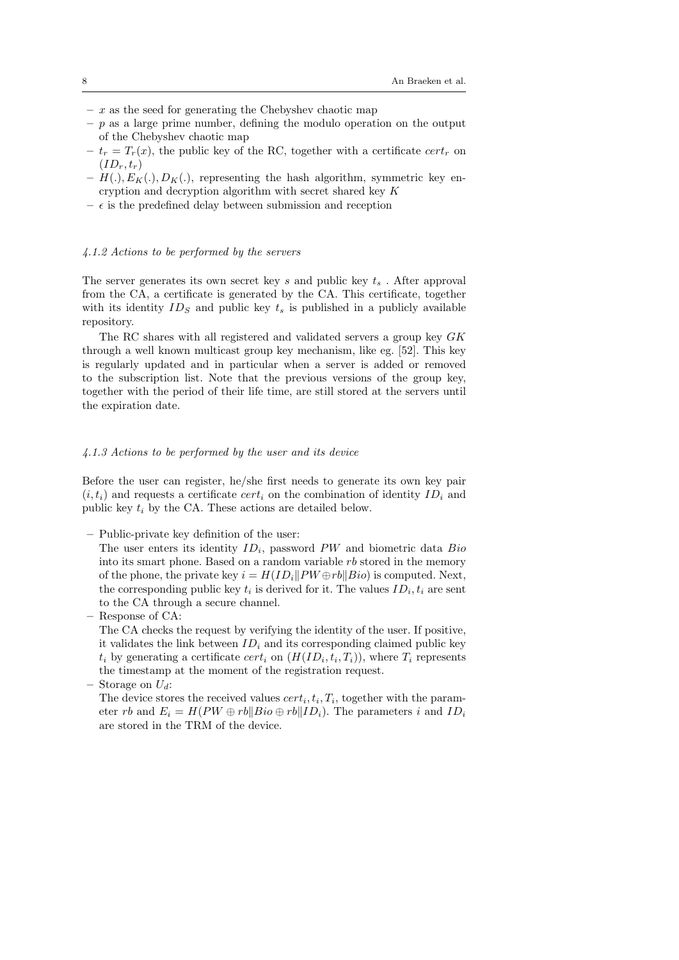- $x$  as the seed for generating the Chebyshev chaotic map
- $-p$  as a large prime number, defining the modulo operation on the output of the Chebyshev chaotic map
- $t_r = T_r(x)$ , the public key of the RC, together with a certificate cert<sub>r</sub> on  $(ID_r, t_r)$
- $-H(.)$ ,  $E_K(.)$ ,  $D_K(.)$ , representing the hash algorithm, symmetric key encryption and decryption algorithm with secret shared key K
- $\epsilon$  is the predefined delay between submission and reception

#### 4.1.2 Actions to be performed by the servers

The server generates its own secret key  $s$  and public key  $t_s$ . After approval from the CA, a certificate is generated by the CA. This certificate, together with its identity  $ID_S$  and public key  $t_s$  is published in a publicly available repository.

The RC shares with all registered and validated servers a group key GK through a well known multicast group key mechanism, like eg. [52]. This key is regularly updated and in particular when a server is added or removed to the subscription list. Note that the previous versions of the group key, together with the period of their life time, are still stored at the servers until the expiration date.

#### 4.1.3 Actions to be performed by the user and its device

Before the user can register, he/she first needs to generate its own key pair  $(i, t_i)$  and requests a certificate cert<sub>i</sub> on the combination of identity  $ID_i$  and public key  $t_i$  by the CA. These actions are detailed below.

– Public-private key definition of the user:

The user enters its identity  $ID_i$ , password PW and biometric data Bio into its smart phone. Based on a random variable  $rb$  stored in the memory of the phone, the private key  $i = H(ID_i||PW \oplus rb||Bio)$  is computed. Next, the corresponding public key  $t_i$  is derived for it. The values  $ID_i, t_i$  are sent to the CA through a secure channel.

– Response of CA:

The CA checks the request by verifying the identity of the user. If positive, it validates the link between  $ID_i$  and its corresponding claimed public key  $t_i$  by generating a certificate  $cert_i$  on  $(H(ID_i, t_i, T_i))$ , where  $T_i$  represents the timestamp at the moment of the registration request.

The device stores the received values  $cert_i, t_i, T_i$ , together with the parameter rb and  $E_i = H(PW \oplus rb|| Bio \oplus rb|| ID_i)$ . The parameters i and  $ID_i$ are stored in the TRM of the device.

Storage on  $U_d$ :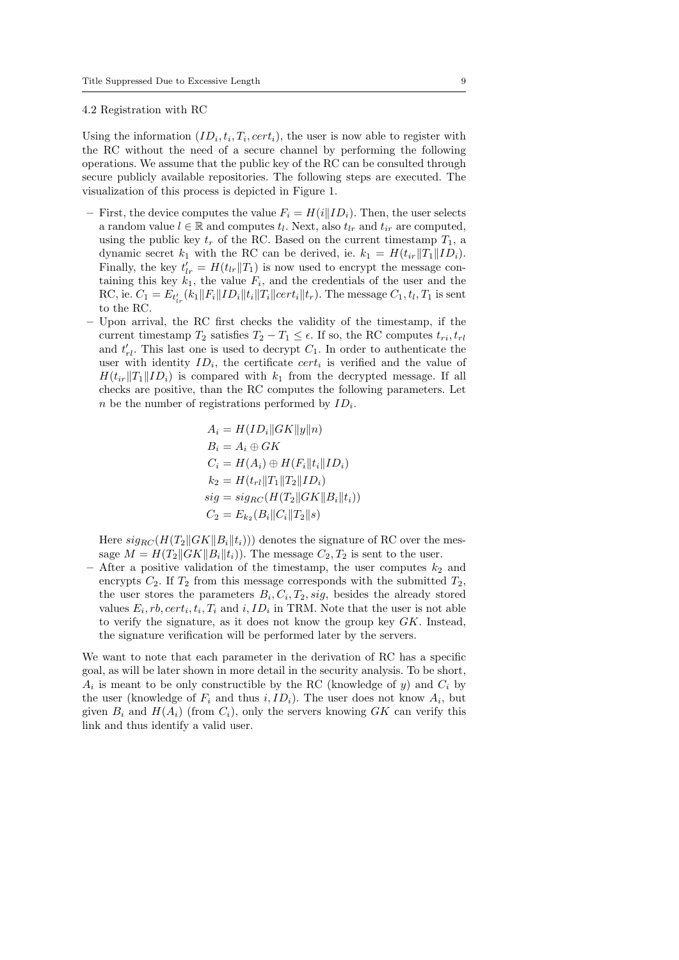## 4.2 Registration with RC

Using the information  $(ID_i, t_i, T_i, cert_i)$ , the user is now able to register with the RC without the need of a secure channel by performing the following operations. We assume that the public key of the RC can be consulted through secure publicly available repositories. The following steps are executed. The visualization of this process is depicted in Figure 1.

- First, the device computes the value  $F_i = H(i||ID_i)$ . Then, the user selects a random value  $l \in \mathbb{R}$  and computes  $t_l$ . Next, also  $t_{lr}$  and  $t_{ir}$  are computed, using the public key  $t_r$  of the RC. Based on the current timestamp  $T_1$ , a dynamic secret  $k_1$  with the RC can be derived, ie.  $k_1 = H(t_{ir}||T_1||ID_i)$ . Finally, the key  $t'_{lr} = H(t_{lr} || T_1)$  is now used to encrypt the message containing this key  $k_1$ , the value  $F_i$ , and the credentials of the user and the RC, ie.  $C_1 = E_{t'_{lr}}(k_1 || F_i || ID_i || t_i || T_i || cert_i || t_r)$ . The message  $C_1, t_l, T_1$  is sent to the RC.
- Upon arrival, the RC first checks the validity of the timestamp, if the current timestamp  $T_2$  satisfies  $T_2 - T_1 \leq \epsilon$ . If so, the RC computes  $t_{ri}, t_{rl}$ and  $t'_{rl}$ . This last one is used to decrypt  $C_1$ . In order to authenticate the user with identity  $ID_i$ , the certificate  $cert_i$  is verified and the value of  $H(t_{ir}||T_1||ID_i)$  is compared with  $k_1$  from the decrypted message. If all checks are positive, than the RC computes the following parameters. Let *n* be the number of registrations performed by  $ID_i$ .

$$
A_i = H(ID_i || GK ||y||n)
$$
  
\n
$$
B_i = A_i \oplus GK
$$
  
\n
$$
C_i = H(A_i) \oplus H(F_i || t_i || ID_i)
$$
  
\n
$$
k_2 = H(t_{rl} || T_1 || T_2 || ID_i)
$$
  
\n
$$
sig = sig_{RC}(H(T_2 || GK || B_i || t_i))
$$
  
\n
$$
C_2 = E_{k_2}(B_i || C_i || T_2 || s)
$$

Here  $sig_{RC}(H(T_2||GK||B_i||t_i)))$  denotes the signature of RC over the message  $M = H(T_2||GK||B_i||t_i)$ . The message  $C_2, T_2$  is sent to the user.

– After a positive validation of the timestamp, the user computes  $k_2$  and encrypts  $C_2$ . If  $T_2$  from this message corresponds with the submitted  $T_2$ , the user stores the parameters  $B_i, C_i, T_2, sig$ , besides the already stored values  $E_i$ ,  $rb, cert_i$ ,  $t_i$ ,  $T_i$  and  $i, ID_i$  in TRM. Note that the user is not able to verify the signature, as it does not know the group key  $GK$ . Instead, the signature verification will be performed later by the servers.

We want to note that each parameter in the derivation of RC has a specific goal, as will be later shown in more detail in the security analysis. To be short,  $A_i$  is meant to be only constructible by the RC (knowledge of y) and  $C_i$  by the user (knowledge of  $F_i$  and thus  $i, ID_i$ ). The user does not know  $A_i$ , but given  $B_i$  and  $H(A_i)$  (from  $C_i$ ), only the servers knowing GK can verify this link and thus identify a valid user.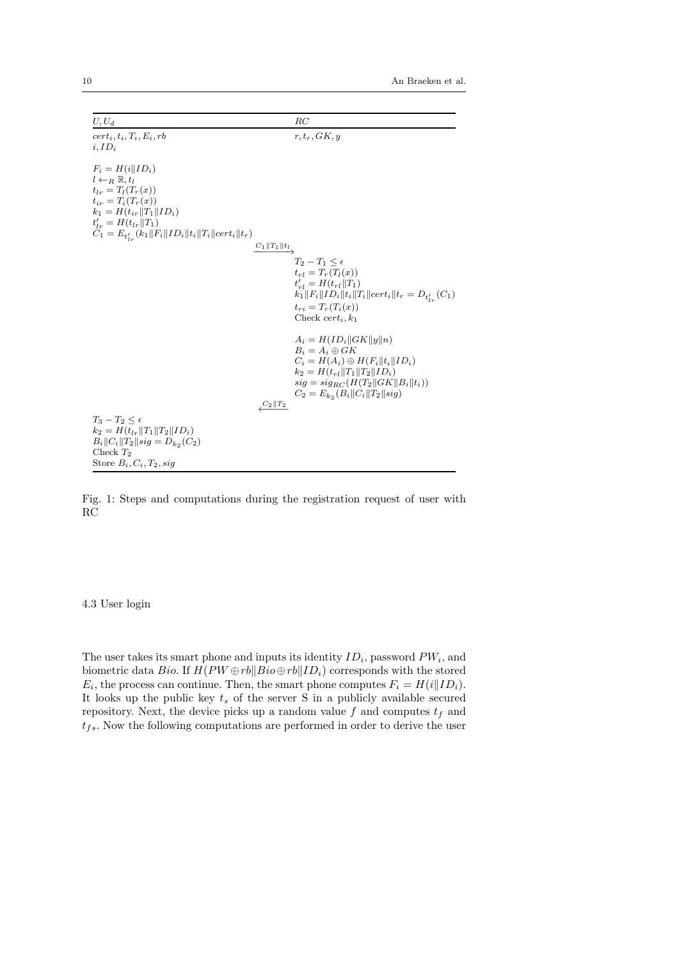| $U, U_d$                                                                                                                                                                                                                                           |                 | $_{RC}$                                                                                                                                                                                                                                                                                                                                                                           |
|----------------------------------------------------------------------------------------------------------------------------------------------------------------------------------------------------------------------------------------------------|-----------------|-----------------------------------------------------------------------------------------------------------------------------------------------------------------------------------------------------------------------------------------------------------------------------------------------------------------------------------------------------------------------------------|
| $cert_i, t_i, T_i, E_i, rb$<br>$i.ID_i$                                                                                                                                                                                                            |                 | $r, t_r, GK, y$                                                                                                                                                                                                                                                                                                                                                                   |
| $F_i = H(i  ID_i)$<br>$l \leftarrow_R \mathbb{R}, t_I$<br>$t_{lr} = T_l(T_r(x))$<br>$t_{ir} = T_i(T_r(x))$<br>$k_1 = H(t_{ir}  T_1  ID_i)$<br>$t'_{lr} = H(t_{lr}  T_1)$<br>$C_1 = E_{t'_{lr}}(k_1    F_i    ID_i    t_i    T_i    cert_i    t_r)$ |                 |                                                                                                                                                                                                                                                                                                                                                                                   |
|                                                                                                                                                                                                                                                    | $C_1\ T_1\ t_l$ |                                                                                                                                                                                                                                                                                                                                                                                   |
|                                                                                                                                                                                                                                                    |                 | $T_2-T_1 \leq \epsilon$<br>$t_{rl} = T_r(T_l(x))$<br>$t'_{rl} = H(t_{rl}  T_1)$<br>$k_1  F_i  ID_i  t_i  T_i  cert_i  t_r = D_{t'_i}(C_1)$<br>$t_{ri} = T_r(T_i(x))$<br>Check $cert_i, k_1$<br>$A_i = H(ID_i    GK  y  n)$<br>$B_i = A_i \oplus GK$<br>$C_i = H(A_i) \oplus H(F_i    t_i    ID_i)$<br>$k_2 = H(t_{rl}  T_1  T_2  ID_i)$<br>$sig = sig_{BC}(H(T_2  GK  B_i  t_i))$ |
|                                                                                                                                                                                                                                                    |                 | $C_2 = E_{k_2}(B_i    C_i    T_2    sig)$                                                                                                                                                                                                                                                                                                                                         |
|                                                                                                                                                                                                                                                    | $C_2  T_2$      |                                                                                                                                                                                                                                                                                                                                                                                   |
| $T_3-T_2 \leq \epsilon$<br>$k_2 = H(t_{lr}  T_1  T_2  ID_i)$<br>$B_i  C_i  T_2  sig = D_{k_2}(C_2)$<br>Check $T2$<br>Store $B_i, C_i, T_2, sig$                                                                                                    |                 |                                                                                                                                                                                                                                                                                                                                                                                   |

Fig. 1: Steps and computations during the registration request of user with RC

4.3 User login

The user takes its smart phone and inputs its identity  $ID_i$ , password  $PW_i$ , and biometric data Bio. If  $H(PW \oplus rb|| Bio \oplus rb|| ID_i)$  corresponds with the stored  $E_i$ , the process can continue. Then, the smart phone computes  $F_i = H(i||ID_i)$ . It looks up the public key  $t_s$  of the server S in a publicly available secured repository. Next, the device picks up a random value  $f$  and computes  $t_f$  and  $t_{fs}$ . Now the following computations are performed in order to derive the user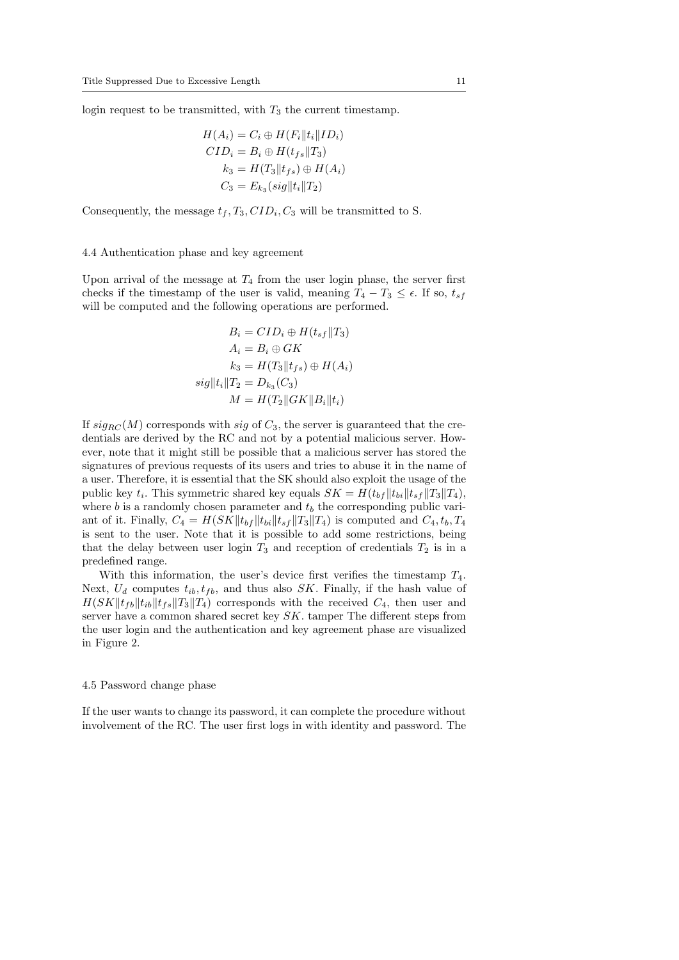login request to be transmitted, with  $T_3$  the current timestamp.

$$
H(A_i) = C_i \oplus H(F_i||t_i||ID_i)
$$
  
\n
$$
CID_i = B_i \oplus H(t_{fs}||T_3)
$$
  
\n
$$
k_3 = H(T_3||t_{fs}) \oplus H(A_i)
$$
  
\n
$$
C_3 = E_{k_3}(sig||t_i||T_2)
$$

Consequently, the message  $t_f$ ,  $T_3$ ,  $CID_i$ ,  $C_3$  will be transmitted to S.

## 4.4 Authentication phase and key agreement

Upon arrival of the message at  $T_4$  from the user login phase, the server first checks if the timestamp of the user is valid, meaning  $T_4 - T_3 \leq \epsilon$ . If so,  $t_{sf}$ will be computed and the following operations are performed.

$$
B_i = CID_i \oplus H(t_{sf} || T_3)
$$
  
\n
$$
A_i = B_i \oplus GK
$$
  
\n
$$
k_3 = H(T_3 || t_{fs}) \oplus H(A_i)
$$
  
\n
$$
sig||t_i || T_2 = D_{k_3}(C_3)
$$
  
\n
$$
M = H(T_2 || GK|| B_i || t_i)
$$

If  $sig_{BC}(M)$  corresponds with  $sig$  of  $C_3$ , the server is guaranteed that the credentials are derived by the RC and not by a potential malicious server. However, note that it might still be possible that a malicious server has stored the signatures of previous requests of its users and tries to abuse it in the name of a user. Therefore, it is essential that the SK should also exploit the usage of the public key  $t_i$ . This symmetric shared key equals  $SK = H(t_{bf} || t_{bi} || t_{sf} || T_3 || T_4)$ , where  $b$  is a randomly chosen parameter and  $t<sub>b</sub>$  the corresponding public variant of it. Finally,  $C_4 = H(SK||t_{bf}||t_{bi}||t_{sf}||T_3||T_4)$  is computed and  $C_4$ ,  $t_b$ ,  $T_4$ is sent to the user. Note that it is possible to add some restrictions, being that the delay between user login  $T_3$  and reception of credentials  $T_2$  is in a predefined range.

With this information, the user's device first verifies the timestamp  $T_4$ . Next,  $U_d$  computes  $t_{ib}, t_{fb}$ , and thus also SK. Finally, if the hash value of  $H(SK||t_{fb}||t_{is}||T_3||T_4)$  corresponds with the received  $C_4$ , then user and server have a common shared secret key SK. tamper The different steps from the user login and the authentication and key agreement phase are visualized in Figure 2.

#### 4.5 Password change phase

If the user wants to change its password, it can complete the procedure without involvement of the RC. The user first logs in with identity and password. The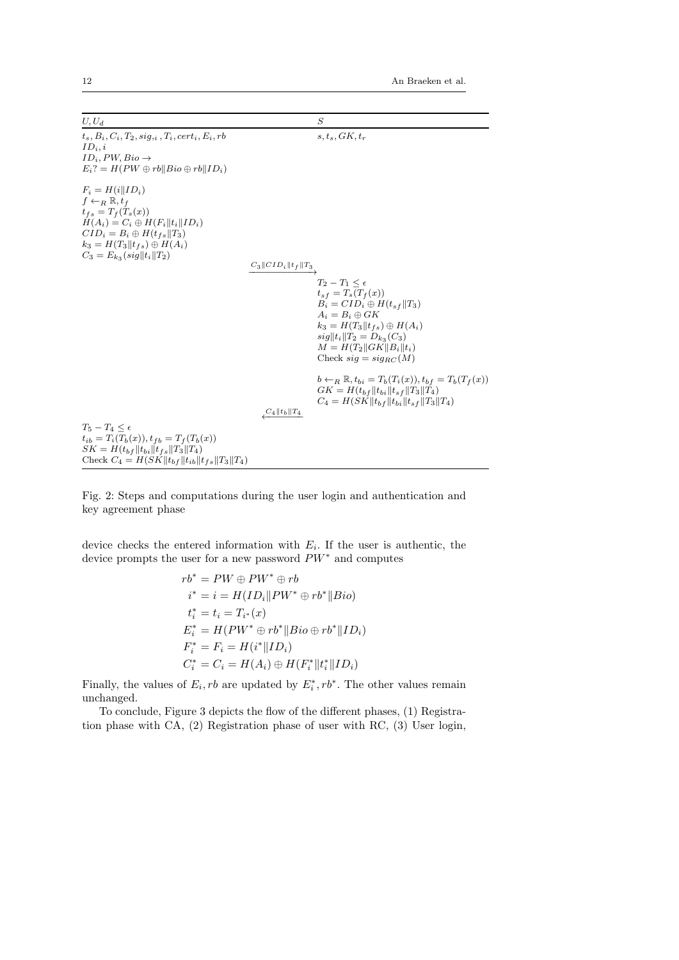12 An Braeken et al.

 $U, U_d$  solutions of  $S$  $t_s, B_i, C_i, T_2, sig,_i, T_i, cert_i, E_i, rb \hspace{3cm} s, t_s, GK, t_r$  $ID_i, i$  $ID_i, PW, Bio \rightarrow$  $E_i? = H(PW \oplus rb|| Bio \oplus rb|| ID_i)$  $F_i = H(i||ID_i)$  $f \leftarrow_R \mathbb{R}, t_f$  $t_{fs}=T_f(T_s(x))$  $H(A_i) = C_i \oplus H(F_i || t_i || ID_i)$  $CID_i = B_i \oplus H(t_{fs}||T_3)$  $k_3 = H(T_3||t_{fs}) \oplus H(A_i)$  $C_3 = E_{k_3}(sig||t_i||T_2)$  $\longrightarrow C_3 \parallel CID_i \parallel t_f \parallel T_3$  $T_2 - T_1 \leq \epsilon$  $t_{sf} = T_s(T_f(x))$  $B_i = \tilde{CID}_i \oplus \tilde{H}(t_{sf} || T_3)$  $A_i = B_i \oplus GK$  $k_3 = H(T_3||t_{fs}) \oplus H(A_i)$  $sig||t_i||T_2 = D_{k_3}(C_3)$  $M = H(T_2 || GK|| B_i || t_i)$ Check  $sig = sig_{RC}(M)$  $b \leftarrow_R \mathbb{R}, t_{bi} = T_b(T_i(x)), t_{bf} = T_b(T_f(x))$  $GK = H(t_{bf} || t_{bi} || t_{sf} || T_3 || T_4)$  $C_4 = H(SK||t_{bf}||t_{bi}||t_{sf}||T_3||T_4)$  $\frac{C_4\|t_b\|T_4}$  $T_5-T_4\leq \epsilon$  $t_{ib} = T_i(T_b(x)), t_{fb} = T_f(T_b(x))$  $SK = H(t_{bf} || t_{bi} || t_{fs} || T_3 || T_4)$ Check  $C_4 = H(SK||t_{bf}||t_{ib}||t_{fs}||T_3||T_4)$ 

Fig. 2: Steps and computations during the user login and authentication and key agreement phase

device checks the entered information with  $E_i$ . If the user is authentic, the device prompts the user for a new password PW<sup>∗</sup> and computes

$$
rb^* = PW \oplus PW^* \oplus rb
$$
  
\n
$$
i^* = i = H(ID_i \| PW^* \oplus rb^* \| Bio)
$$
  
\n
$$
t_i^* = t_i = T_{i^*}(x)
$$
  
\n
$$
E_i^* = H(PW^* \oplus rb^* \| Bio \oplus rb^* \| ID_i)
$$
  
\n
$$
F_i^* = F_i = H(i^* \| ID_i)
$$
  
\n
$$
C_i^* = C_i = H(A_i) \oplus H(F_i^* \| t_i^* \| ID_i)
$$

Finally, the values of  $E_i$ , rb are updated by  $E_i^*$ ,  $rb^*$ . The other values remain unchanged.

To conclude, Figure 3 depicts the flow of the different phases, (1) Registration phase with CA, (2) Registration phase of user with RC, (3) User login,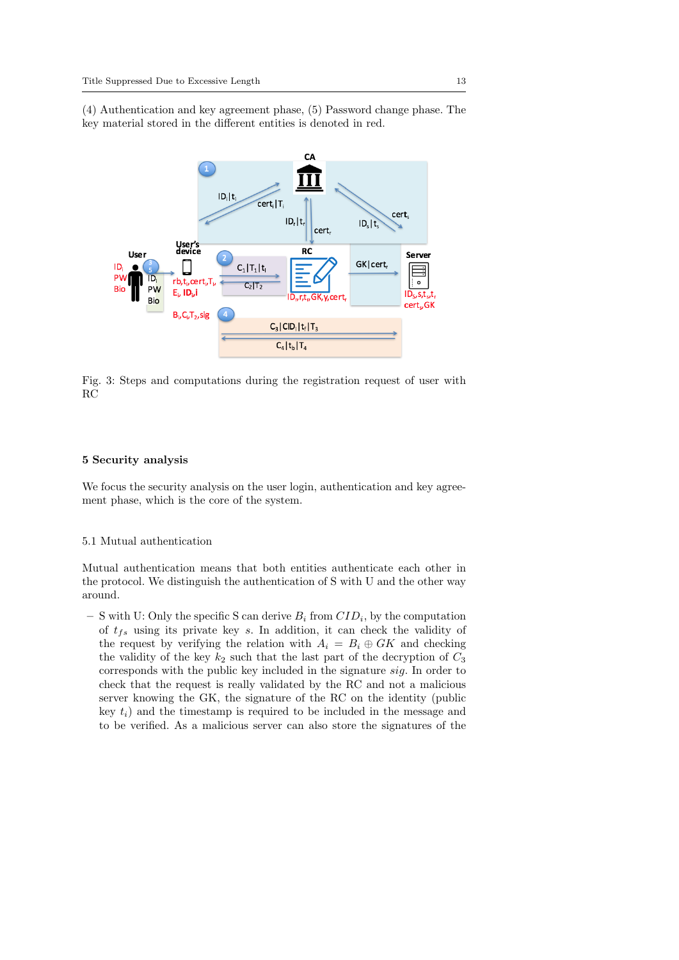(4) Authentication and key agreement phase, (5) Password change phase. The key material stored in the different entities is denoted in red.



Fig. 3: Steps and computations during the registration request of user with RC

## 5 Security analysis

We focus the security analysis on the user login, authentication and key agreement phase, which is the core of the system.

## 5.1 Mutual authentication

Mutual authentication means that both entities authenticate each other in the protocol. We distinguish the authentication of S with U and the other way around.

 $-$  S with U: Only the specific S can derive  $B_i$  from  $CID_i$ , by the computation of  $t_{fs}$  using its private key s. In addition, it can check the validity of the request by verifying the relation with  $A_i = B_i \oplus GK$  and checking the validity of the key  $k_2$  such that the last part of the decryption of  $C_3$ corresponds with the public key included in the signature sig. In order to check that the request is really validated by the RC and not a malicious server knowing the GK, the signature of the RC on the identity (public key  $t_i$ ) and the timestamp is required to be included in the message and to be verified. As a malicious server can also store the signatures of the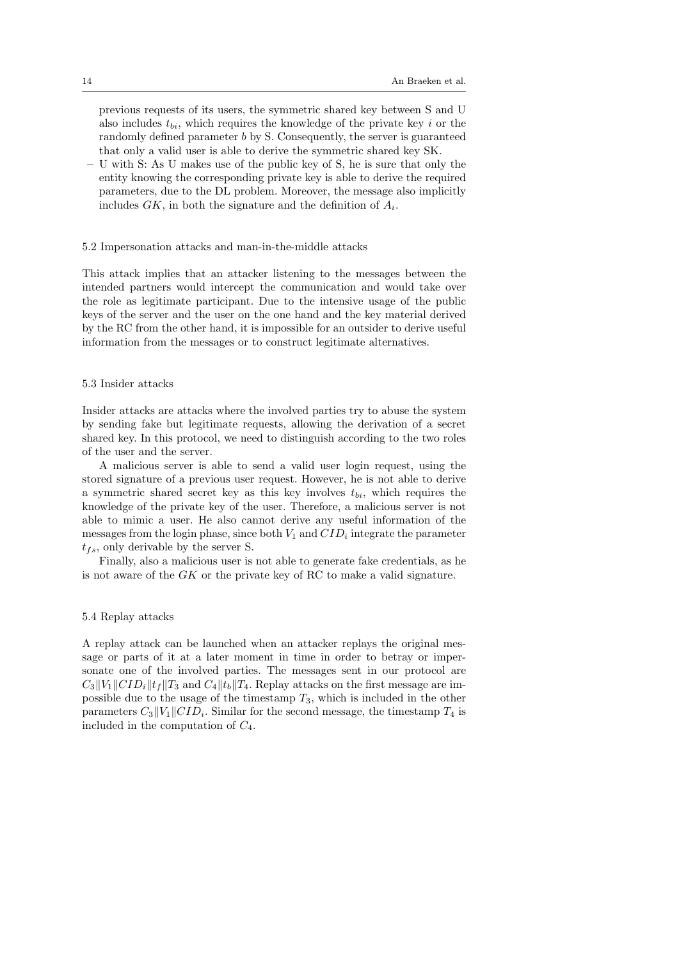previous requests of its users, the symmetric shared key between S and U also includes  $t_{bi}$ , which requires the knowledge of the private key i or the randomly defined parameter b by S. Consequently, the server is guaranteed that only a valid user is able to derive the symmetric shared key SK.

– U with S: As U makes use of the public key of S, he is sure that only the entity knowing the corresponding private key is able to derive the required parameters, due to the DL problem. Moreover, the message also implicitly includes  $GK$ , in both the signature and the definition of  $A_i$ .

#### 5.2 Impersonation attacks and man-in-the-middle attacks

This attack implies that an attacker listening to the messages between the intended partners would intercept the communication and would take over the role as legitimate participant. Due to the intensive usage of the public keys of the server and the user on the one hand and the key material derived by the RC from the other hand, it is impossible for an outsider to derive useful information from the messages or to construct legitimate alternatives.

## 5.3 Insider attacks

Insider attacks are attacks where the involved parties try to abuse the system by sending fake but legitimate requests, allowing the derivation of a secret shared key. In this protocol, we need to distinguish according to the two roles of the user and the server.

A malicious server is able to send a valid user login request, using the stored signature of a previous user request. However, he is not able to derive a symmetric shared secret key as this key involves  $t_{bi}$ , which requires the knowledge of the private key of the user. Therefore, a malicious server is not able to mimic a user. He also cannot derive any useful information of the messages from the login phase, since both  $V_1$  and  $CID_i$  integrate the parameter  $t_{fs}$ , only derivable by the server S.

Finally, also a malicious user is not able to generate fake credentials, as he is not aware of the GK or the private key of RC to make a valid signature.

## 5.4 Replay attacks

A replay attack can be launched when an attacker replays the original message or parts of it at a later moment in time in order to betray or impersonate one of the involved parties. The messages sent in our protocol are  $C_3||V_1||CID_i||t_f||T_3$  and  $C_4||t_b||T_4$ . Replay attacks on the first message are impossible due to the usage of the timestamp  $T_3$ , which is included in the other parameters  $C_3||V_1||CD_i$ . Similar for the second message, the timestamp  $T_4$  is included in the computation of  $C_4$ .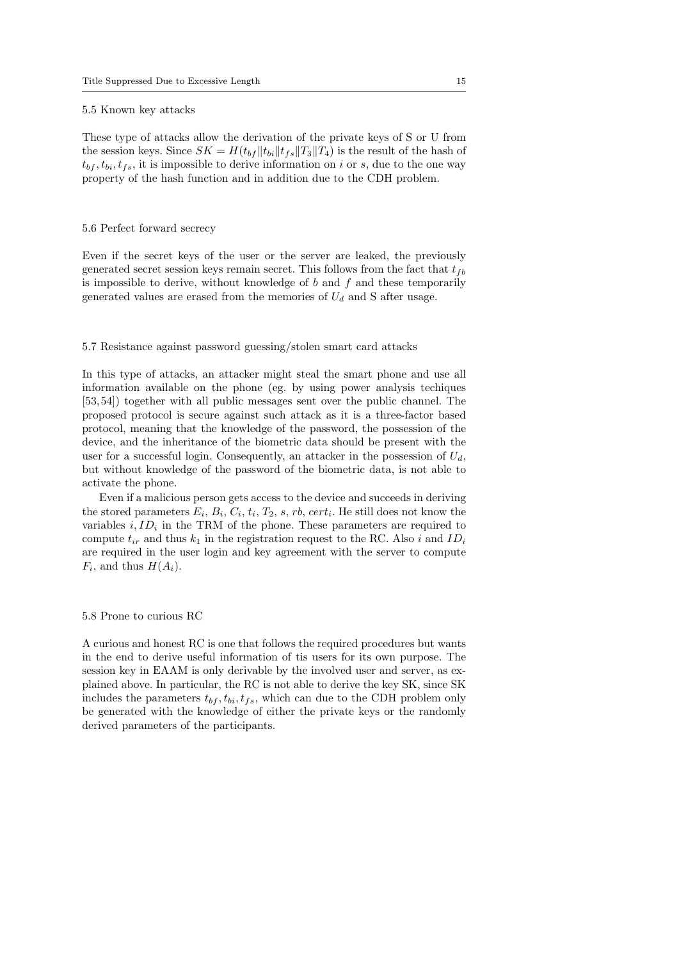#### 5.5 Known key attacks

These type of attacks allow the derivation of the private keys of S or U from the session keys. Since  $SK = H(t_{bf} || t_{bi} || t_{fs} || T_3 || T_4)$  is the result of the hash of  $t_{bf}$ ,  $t_{bi}$ ,  $t_{fs}$ , it is impossible to derive information on i or s, due to the one way property of the hash function and in addition due to the CDH problem.

#### 5.6 Perfect forward secrecy

Even if the secret keys of the user or the server are leaked, the previously generated secret session keys remain secret. This follows from the fact that  $t_{th}$ is impossible to derive, without knowledge of  $b$  and  $f$  and these temporarily generated values are erased from the memories of  $U_d$  and S after usage.

### 5.7 Resistance against password guessing/stolen smart card attacks

In this type of attacks, an attacker might steal the smart phone and use all information available on the phone (eg. by using power analysis techiques [53, 54]) together with all public messages sent over the public channel. The proposed protocol is secure against such attack as it is a three-factor based protocol, meaning that the knowledge of the password, the possession of the device, and the inheritance of the biometric data should be present with the user for a successful login. Consequently, an attacker in the possession of  $U_d$ , but without knowledge of the password of the biometric data, is not able to activate the phone.

Even if a malicious person gets access to the device and succeeds in deriving the stored parameters  $E_i$ ,  $B_i$ ,  $C_i$ ,  $t_i$ ,  $T_2$ ,  $s$ ,  $rb$ ,  $cert_i$ . He still does not know the variables  $i, ID_i$  in the TRM of the phone. These parameters are required to compute  $t_{ir}$  and thus  $k_1$  in the registration request to the RC. Also i and  $ID_i$ are required in the user login and key agreement with the server to compute  $F_i$ , and thus  $H(A_i)$ .

## 5.8 Prone to curious RC

A curious and honest RC is one that follows the required procedures but wants in the end to derive useful information of tis users for its own purpose. The session key in EAAM is only derivable by the involved user and server, as explained above. In particular, the RC is not able to derive the key SK, since SK includes the parameters  $t_{bf}$ ,  $t_{bi}$ ,  $t_{fs}$ , which can due to the CDH problem only be generated with the knowledge of either the private keys or the randomly derived parameters of the participants.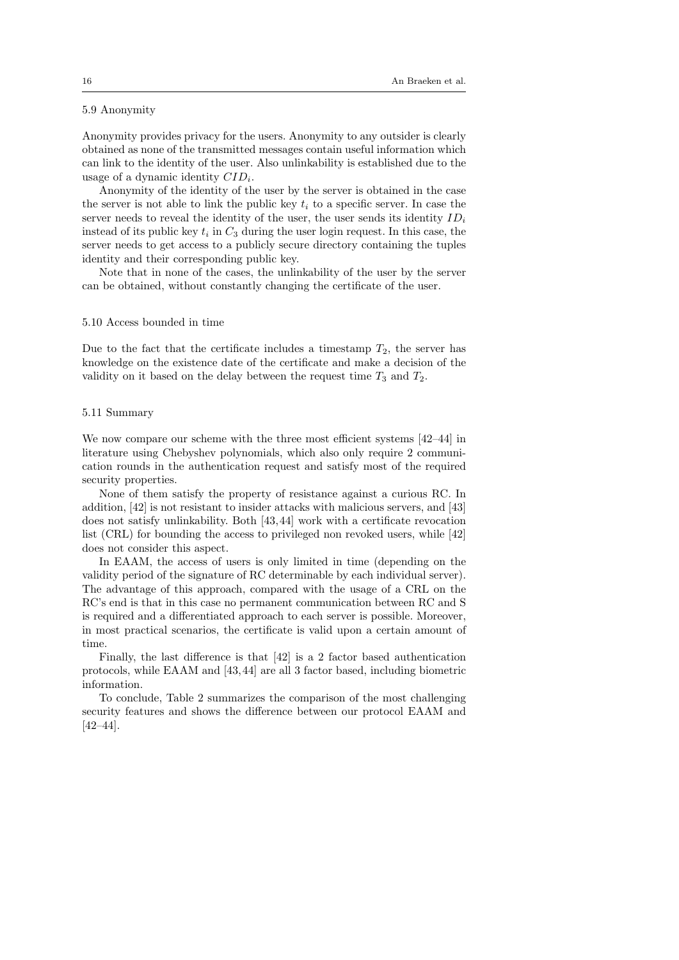## 5.9 Anonymity

Anonymity provides privacy for the users. Anonymity to any outsider is clearly obtained as none of the transmitted messages contain useful information which can link to the identity of the user. Also unlinkability is established due to the usage of a dynamic identity  $CID_i$ .

Anonymity of the identity of the user by the server is obtained in the case the server is not able to link the public key  $t_i$  to a specific server. In case the server needs to reveal the identity of the user, the user sends its identity  $ID_i$ instead of its public key  $t_i$  in  $C_3$  during the user login request. In this case, the server needs to get access to a publicly secure directory containing the tuples identity and their corresponding public key.

Note that in none of the cases, the unlinkability of the user by the server can be obtained, without constantly changing the certificate of the user.

#### 5.10 Access bounded in time

Due to the fact that the certificate includes a timestamp  $T_2$ , the server has knowledge on the existence date of the certificate and make a decision of the validity on it based on the delay between the request time  $T_3$  and  $T_2$ .

## 5.11 Summary

We now compare our scheme with the three most efficient systems [42–44] in literature using Chebyshev polynomials, which also only require 2 communication rounds in the authentication request and satisfy most of the required security properties.

None of them satisfy the property of resistance against a curious RC. In addition, [42] is not resistant to insider attacks with malicious servers, and [43] does not satisfy unlinkability. Both [43, 44] work with a certificate revocation list (CRL) for bounding the access to privileged non revoked users, while [42] does not consider this aspect.

In EAAM, the access of users is only limited in time (depending on the validity period of the signature of RC determinable by each individual server). The advantage of this approach, compared with the usage of a CRL on the RC's end is that in this case no permanent communication between RC and S is required and a differentiated approach to each server is possible. Moreover, in most practical scenarios, the certificate is valid upon a certain amount of time.

Finally, the last difference is that [42] is a 2 factor based authentication protocols, while EAAM and [43, 44] are all 3 factor based, including biometric information.

To conclude, Table 2 summarizes the comparison of the most challenging security features and shows the difference between our protocol EAAM and [42–44].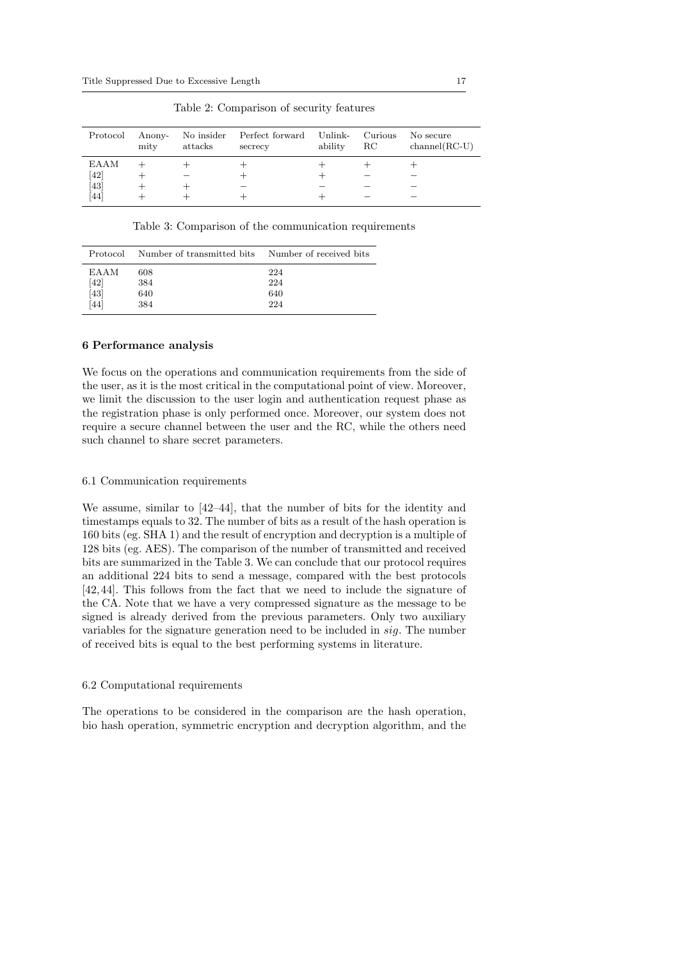| Protocol | Anony-<br>mity | attacks | No insider Perfect forward<br>secrecy | Unlink-<br>ability | Curious<br>$_{\rm RC}$ | No secure<br>$channel(RC-U)$ |
|----------|----------------|---------|---------------------------------------|--------------------|------------------------|------------------------------|
| EAAM     |                |         |                                       |                    |                        |                              |
| $[42]$   |                |         |                                       |                    |                        |                              |
| [43]     |                |         |                                       |                    |                        |                              |
| [44]     |                |         |                                       |                    |                        |                              |

Table 2: Comparison of security features

Table 3: Comparison of the communication requirements

| Protocol  | Number of transmitted bits | Number of received bits |
|-----------|----------------------------|-------------------------|
| EAAM      | 608                        | 224                     |
| [42]      | 384                        | 224                     |
| .<br>[43] | 640                        | 640                     |
| (44)      | 384                        | 224                     |

### 6 Performance analysis

We focus on the operations and communication requirements from the side of the user, as it is the most critical in the computational point of view. Moreover, we limit the discussion to the user login and authentication request phase as the registration phase is only performed once. Moreover, our system does not require a secure channel between the user and the RC, while the others need such channel to share secret parameters.

## 6.1 Communication requirements

We assume, similar to [42–44], that the number of bits for the identity and timestamps equals to 32. The number of bits as a result of the hash operation is 160 bits (eg. SHA 1) and the result of encryption and decryption is a multiple of 128 bits (eg. AES). The comparison of the number of transmitted and received bits are summarized in the Table 3. We can conclude that our protocol requires an additional 224 bits to send a message, compared with the best protocols [42, 44]. This follows from the fact that we need to include the signature of the CA. Note that we have a very compressed signature as the message to be signed is already derived from the previous parameters. Only two auxiliary variables for the signature generation need to be included in sig. The number of received bits is equal to the best performing systems in literature.

#### 6.2 Computational requirements

The operations to be considered in the comparison are the hash operation, bio hash operation, symmetric encryption and decryption algorithm, and the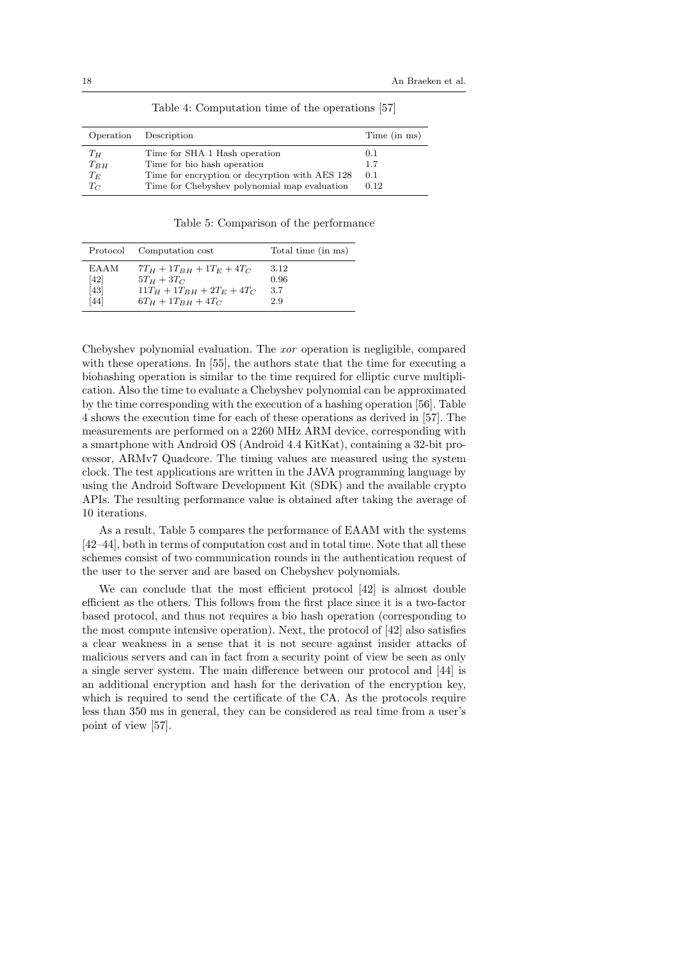| Operation | Description                                    | Time (in ms) |
|-----------|------------------------------------------------|--------------|
| $T_H$     | Time for SHA 1 Hash operation                  | 0.1          |
| $T_{BH}$  | Time for bio hash operation                    | 1.7          |
| $T_E$     | Time for encryption or decyrption with AES 128 | 0.1          |
| $T_C$     | Time for Chebyshev polynomial map evaluation   | 0.12         |

Table 4: Computation time of the operations [57]

Table 5: Comparison of the performance

|      | Protocol Computation cost       | Total time (in ms) |
|------|---------------------------------|--------------------|
| EAAM | $7T_H + 1T_{BH} + 1T_E + 4T_C$  | 3.12               |
| [42] | $5T_H+3T_C$                     | 0.96               |
| [43] | $11T_H + 1T_{BH} + 2T_E + 4T_C$ | 3.7                |
| [44] | $6T_H + 1T_{BH} + 4T_C$         | 2.9                |

Chebyshev polynomial evaluation. The xor operation is negligible, compared with these operations. In [55], the authors state that the time for executing a biohashing operation is similar to the time required for elliptic curve multiplication. Also the time to evaluate a Chebyshev polynomial can be approximated by the time corresponding with the execution of a hashing operation [56]. Table 4 shows the execution time for each of these operations as derived in [57]. The measurements are performed on a 2260 MHz ARM device, corresponding with a smartphone with Android OS (Android 4.4 KitKat), containing a 32-bit processor, ARMv7 Quadcore. The timing values are measured using the system clock. The test applications are written in the JAVA programming language by using the Android Software Development Kit (SDK) and the available crypto APIs. The resulting performance value is obtained after taking the average of 10 iterations.

As a result, Table 5 compares the performance of EAAM with the systems [42–44], both in terms of computation cost and in total time. Note that all these schemes consist of two communication rounds in the authentication request of the user to the server and are based on Chebyshev polynomials.

We can conclude that the most efficient protocol [42] is almost double efficient as the others. This follows from the first place since it is a two-factor based protocol, and thus not requires a bio hash operation (corresponding to the most compute intensive operation). Next, the protocol of [42] also satisfies a clear weakness in a sense that it is not secure against insider attacks of malicious servers and can in fact from a security point of view be seen as only a single server system. The main difference between our protocol and [44] is an additional encryption and hash for the derivation of the encryption key, which is required to send the certificate of the CA. As the protocols require less than 350 ms in general, they can be considered as real time from a user's point of view [57].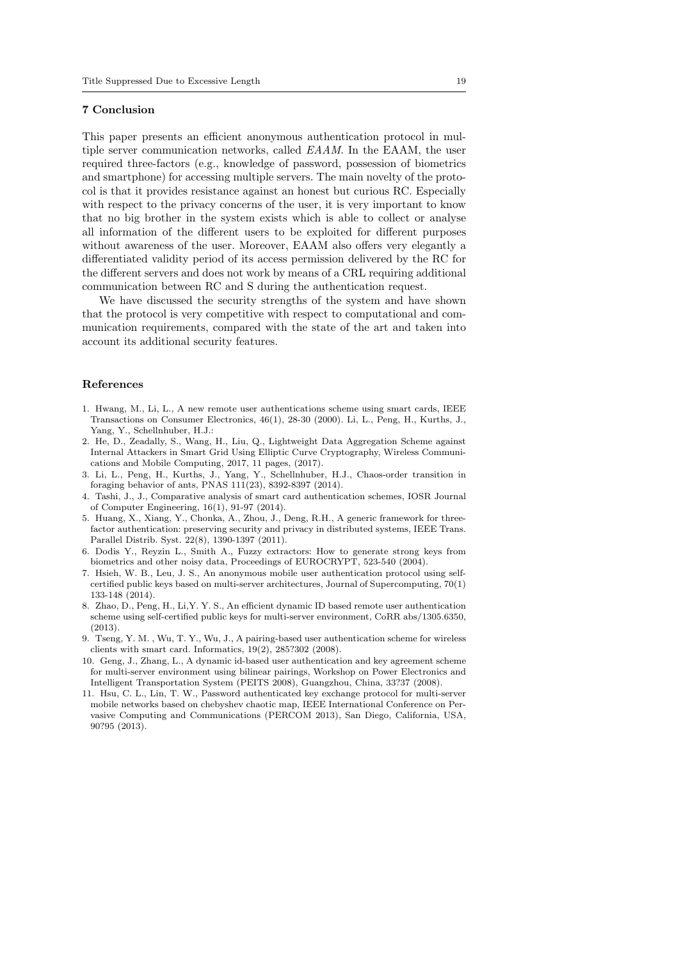### 7 Conclusion

This paper presents an efficient anonymous authentication protocol in multiple server communication networks, called EAAM. In the EAAM, the user required three-factors (e.g., knowledge of password, possession of biometrics and smartphone) for accessing multiple servers. The main novelty of the protocol is that it provides resistance against an honest but curious RC. Especially with respect to the privacy concerns of the user, it is very important to know that no big brother in the system exists which is able to collect or analyse all information of the different users to be exploited for different purposes without awareness of the user. Moreover, EAAM also offers very elegantly a differentiated validity period of its access permission delivered by the RC for the different servers and does not work by means of a CRL requiring additional communication between RC and S during the authentication request.

We have discussed the security strengths of the system and have shown that the protocol is very competitive with respect to computational and communication requirements, compared with the state of the art and taken into account its additional security features.

## References

- 1. Hwang, M., Li, L., A new remote user authentications scheme using smart cards, IEEE Transactions on Consumer Electronics, 46(1), 28-30 (2000). Li, L., Peng, H., Kurths, J., Yang, Y., Schellnhuber, H.J.:
- 2. He, D., Zeadally, S., Wang, H., Liu, Q., Lightweight Data Aggregation Scheme against Internal Attackers in Smart Grid Using Elliptic Curve Cryptography, Wireless Communications and Mobile Computing, 2017, 11 pages, (2017).
- 3. Li, L., Peng, H., Kurths, J., Yang, Y., Schellnhuber, H.J., Chaos-order transition in foraging behavior of ants, PNAS 111(23), 8392-8397 (2014).
- 4. Tashi, J., J., Comparative analysis of smart card authentication schemes, IOSR Journal of Computer Engineering, 16(1), 91-97 (2014).
- 5. Huang, X., Xiang, Y., Chonka, A., Zhou, J., Deng, R.H., A generic framework for threefactor authentication: preserving security and privacy in distributed systems, IEEE Trans. Parallel Distrib. Syst. 22(8), 1390-1397 (2011).
- 6. Dodis Y., Reyzin L., Smith A., Fuzzy extractors: How to generate strong keys from biometrics and other noisy data, Proceedings of EUROCRYPT, 523-540 (2004).
- 7. Hsieh, W. B., Leu, J. S., An anonymous mobile user authentication protocol using selfcertified public keys based on multi-server architectures, Journal of Supercomputing, 70(1) 133-148 (2014).
- 8. Zhao, D., Peng, H., Li,Y. Y. S., An efficient dynamic ID based remote user authentication scheme using self-certified public keys for multi-server environment, CoRR abs/1305.6350, (2013).
- 9. Tseng, Y. M. , Wu, T. Y., Wu, J., A pairing-based user authentication scheme for wireless clients with smart card. Informatics, 19(2), 285?302 (2008).
- 10. Geng, J., Zhang, L., A dynamic id-based user authentication and key agreement scheme for multi-server environment using bilinear pairings, Workshop on Power Electronics and Intelligent Transportation System (PEITS 2008), Guangzhou, China, 33?37 (2008).
- 11. Hsu, C. L., Lin, T. W., Password authenticated key exchange protocol for multi-server mobile networks based on chebyshev chaotic map, IEEE International Conference on Pervasive Computing and Communications (PERCOM 2013), San Diego, California, USA, 90?95 (2013).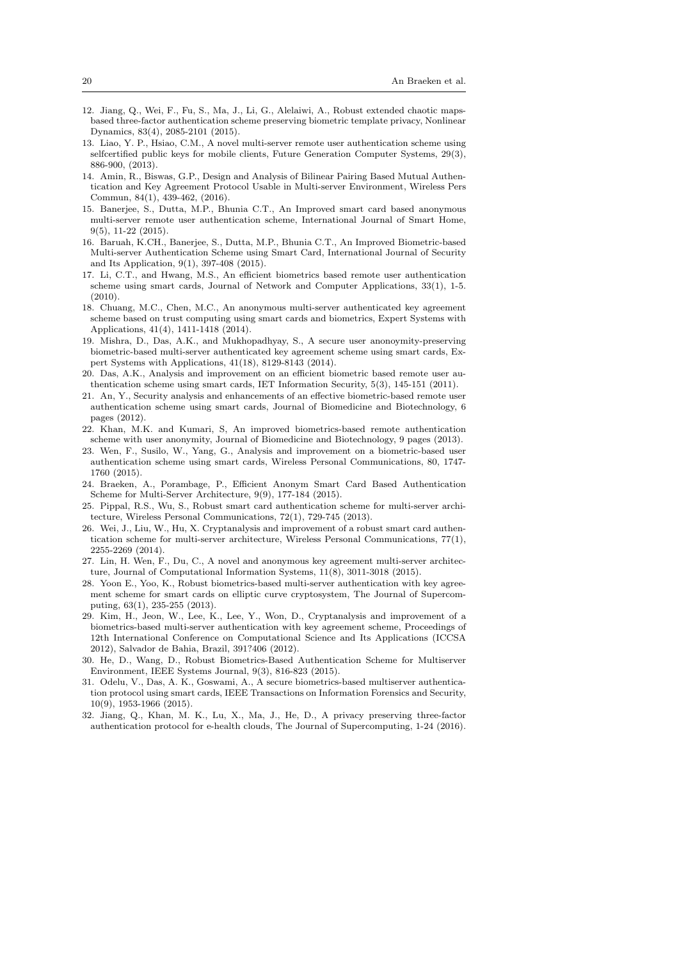- 12. Jiang, Q., Wei, F., Fu, S., Ma, J., Li, G., Alelaiwi, A., Robust extended chaotic mapsbased three-factor authentication scheme preserving biometric template privacy, Nonlinear Dynamics, 83(4), 2085-2101 (2015).
- 13. Liao, Y. P., Hsiao, C.M., A novel multi-server remote user authentication scheme using selfcertified public keys for mobile clients, Future Generation Computer Systems, 29(3), 886-900, (2013).
- 14. Amin, R., Biswas, G.P., Design and Analysis of Bilinear Pairing Based Mutual Authentication and Key Agreement Protocol Usable in Multi-server Environment, Wireless Pers Commun, 84(1), 439-462, (2016).
- 15. Banerjee, S., Dutta, M.P., Bhunia C.T., An Improved smart card based anonymous multi-server remote user authentication scheme, International Journal of Smart Home, 9(5), 11-22 (2015).
- 16. Baruah, K.CH., Banerjee, S., Dutta, M.P., Bhunia C.T., An Improved Biometric-based Multi-server Authentication Scheme using Smart Card, International Journal of Security and Its Application, 9(1), 397-408 (2015).
- 17. Li, C.T., and Hwang, M.S., An efficient biometrics based remote user authentication scheme using smart cards, Journal of Network and Computer Applications, 33(1), 1-5.  $(2010).$
- 18. Chuang, M.C., Chen, M.C., An anonymous multi-server authenticated key agreement scheme based on trust computing using smart cards and biometrics, Expert Systems with Applications, 41(4), 1411-1418 (2014).
- 19. Mishra, D., Das, A.K., and Mukhopadhyay, S., A secure user anonoymity-preserving biometric-based multi-server authenticated key agreement scheme using smart cards, Expert Systems with Applications, 41(18), 8129-8143 (2014).
- 20. Das, A.K., Analysis and improvement on an efficient biometric based remote user authentication scheme using smart cards, IET Information Security, 5(3), 145-151 (2011).
- 21. An, Y., Security analysis and enhancements of an effective biometric-based remote user authentication scheme using smart cards, Journal of Biomedicine and Biotechnology, 6 pages (2012).
- 22. Khan, M.K. and Kumari, S, An improved biometrics-based remote authentication scheme with user anonymity, Journal of Biomedicine and Biotechnology, 9 pages (2013).
- 23. Wen, F., Susilo, W., Yang, G., Analysis and improvement on a biometric-based user authentication scheme using smart cards, Wireless Personal Communications, 80, 1747- 1760 (2015).
- 24. Braeken, A., Porambage, P., Efficient Anonym Smart Card Based Authentication Scheme for Multi-Server Architecture, 9(9), 177-184 (2015).
- 25. Pippal, R.S., Wu, S., Robust smart card authentication scheme for multi-server architecture, Wireless Personal Communications, 72(1), 729-745 (2013).
- 26. Wei, J., Liu, W., Hu, X. Cryptanalysis and improvement of a robust smart card authentication scheme for multi-server architecture, Wireless Personal Communications, 77(1), 2255-2269 (2014).
- 27. Lin, H. Wen, F., Du, C., A novel and anonymous key agreement multi-server architecture, Journal of Computational Information Systems, 11(8), 3011-3018 (2015).
- 28. Yoon E., Yoo, K., Robust biometrics-based multi-server authentication with key agreement scheme for smart cards on elliptic curve cryptosystem, The Journal of Supercomputing, 63(1), 235-255 (2013).
- 29. Kim, H., Jeon, W., Lee, K., Lee, Y., Won, D., Cryptanalysis and improvement of a biometrics-based multi-server authentication with key agreement scheme, Proceedings of 12th International Conference on Computational Science and Its Applications (ICCSA 2012), Salvador de Bahia, Brazil, 391?406 (2012).
- 30. He, D., Wang, D., Robust Biometrics-Based Authentication Scheme for Multiserver Environment, IEEE Systems Journal, 9(3), 816-823 (2015).
- 31. Odelu, V., Das, A. K., Goswami, A., A secure biometrics-based multiserver authentication protocol using smart cards, IEEE Transactions on Information Forensics and Security, 10(9), 1953-1966 (2015).
- 32. Jiang, Q., Khan, M. K., Lu, X., Ma, J., He, D., A privacy preserving three-factor authentication protocol for e-health clouds, The Journal of Supercomputing, 1-24 (2016).